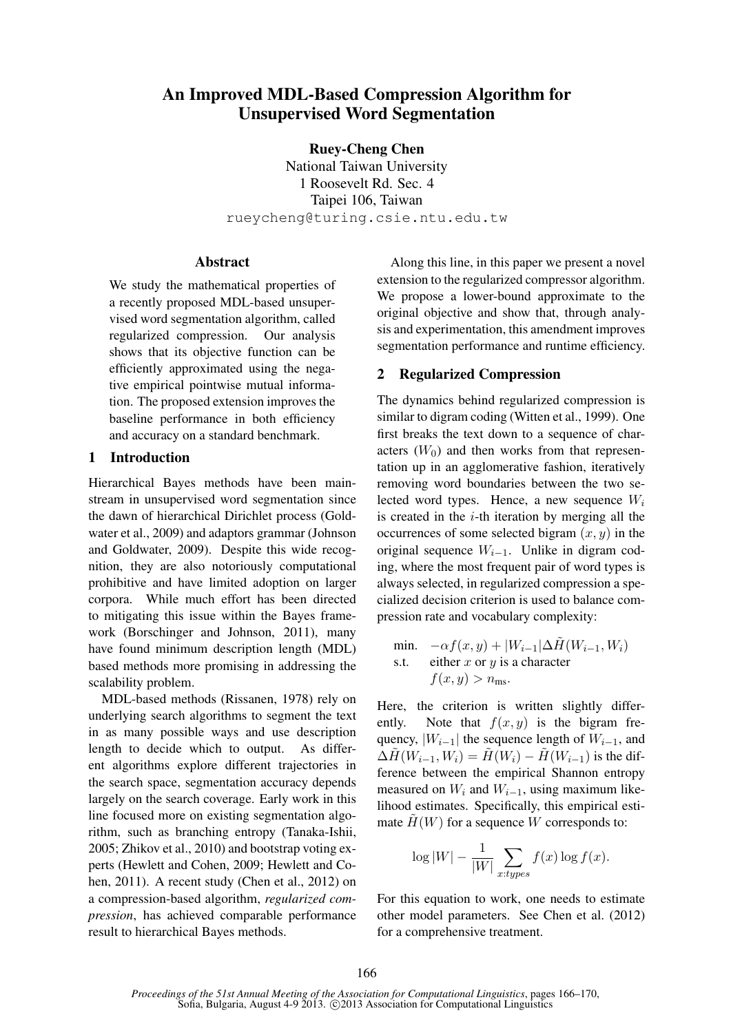# An Improved MDL-Based Compression Algorithm for Unsupervised Word Segmentation

Ruey-Cheng Chen

National Taiwan University 1 Roosevelt Rd. Sec. 4 Taipei 106, Taiwan rueycheng@turing.csie.ntu.edu.tw

# Abstract

We study the mathematical properties of a recently proposed MDL-based unsupervised word segmentation algorithm, called regularized compression. Our analysis shows that its objective function can be efficiently approximated using the negative empirical pointwise mutual information. The proposed extension improves the baseline performance in both efficiency and accuracy on a standard benchmark.

## 1 Introduction

Hierarchical Bayes methods have been mainstream in unsupervised word segmentation since the dawn of hierarchical Dirichlet process (Goldwater et al., 2009) and adaptors grammar (Johnson and Goldwater, 2009). Despite this wide recognition, they are also notoriously computational prohibitive and have limited adoption on larger corpora. While much effort has been directed to mitigating this issue within the Bayes framework (Borschinger and Johnson, 2011), many have found minimum description length (MDL) based methods more promising in addressing the scalability problem.

MDL-based methods (Rissanen, 1978) rely on underlying search algorithms to segment the text in as many possible ways and use description length to decide which to output. As different algorithms explore different trajectories in the search space, segmentation accuracy depends largely on the search coverage. Early work in this line focused more on existing segmentation algorithm, such as branching entropy (Tanaka-Ishii, 2005; Zhikov et al., 2010) and bootstrap voting experts (Hewlett and Cohen, 2009; Hewlett and Cohen, 2011). A recent study (Chen et al., 2012) on a compression-based algorithm, *regularized compression*, has achieved comparable performance result to hierarchical Bayes methods.

Along this line, in this paper we present a novel extension to the regularized compressor algorithm. We propose a lower-bound approximate to the original objective and show that, through analysis and experimentation, this amendment improves segmentation performance and runtime efficiency.

# 2 Regularized Compression

The dynamics behind regularized compression is similar to digram coding (Witten et al., 1999). One first breaks the text down to a sequence of characters  $(W_0)$  and then works from that representation up in an agglomerative fashion, iteratively removing word boundaries between the two selected word types. Hence, a new sequence  $W_i$ is created in the  $i$ -th iteration by merging all the occurrences of some selected bigram  $(x, y)$  in the original sequence  $W_{i-1}$ . Unlike in digram coding, where the most frequent pair of word types is always selected, in regularized compression a specialized decision criterion is used to balance compression rate and vocabulary complexity:

min. 
$$
-\alpha f(x, y) + |W_{i-1}| \Delta \tilde{H}(W_{i-1}, W_i)
$$
  
s.t. either *x* or *y* is a character  
 $f(x, y) > n_{\text{ms}}$ .

Here, the criterion is written slightly differently. Note that  $f(x, y)$  is the bigram frequency,  $|W_{i-1}|$  the sequence length of  $W_{i-1}$ , and  $\Delta H(W_{i-1}, W_i) = H(W_i) - H(W_{i-1})$  is the difference between the empirical Shannon entropy measured on  $W_i$  and  $W_{i-1}$ , using maximum likelihood estimates. Specifically, this empirical estimate  $H(W)$  for a sequence W corresponds to:

$$
\log|W| - \frac{1}{|W|} \sum_{x: types} f(x) \log f(x).
$$

For this equation to work, one needs to estimate other model parameters. See Chen et al. (2012) for a comprehensive treatment.

*Proceedings of the 51st Annual Meeting of the Association for Computational Linguistics*, pages 166–170, Sofia, Bulgaria, August 4-9 2013. C 2013 Association for Computational Linguistics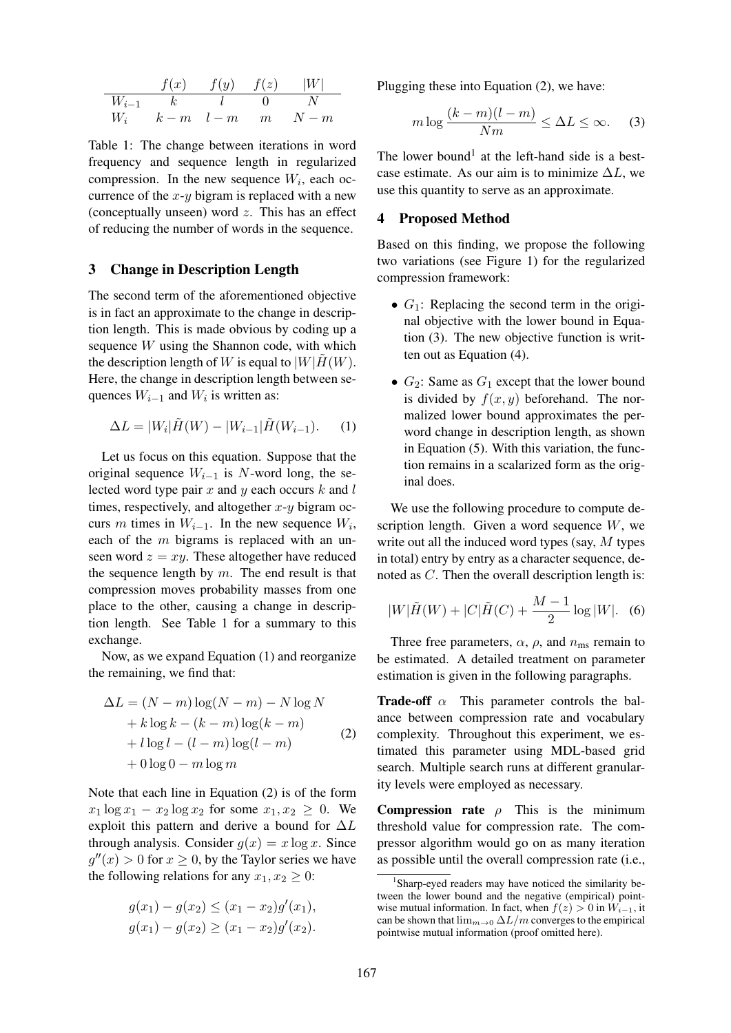$$
\begin{array}{cccc}\nf(x) & f(y) & f(z) & |W| \\
\hline\nW_{i-1} & k & l & 0 & N \\
W_i & k-m & l-m & m & N-m\n\end{array}
$$

Table 1: The change between iterations in word frequency and sequence length in regularized compression. In the new sequence  $W_i$ , each occurrence of the  $x-y$  bigram is replaced with a new (conceptually unseen) word  $z$ . This has an effect of reducing the number of words in the sequence.

## 3 Change in Description Length

The second term of the aforementioned objective is in fact an approximate to the change in description length. This is made obvious by coding up a sequence W using the Shannon code, with which the description length of W is equal to  $|W|H(W)$ . Here, the change in description length between sequences  $W_{i-1}$  and  $W_i$  is written as:

$$
\Delta L = |W_i| \tilde{H}(W) - |W_{i-1}| \tilde{H}(W_{i-1}).
$$
 (1)

Let us focus on this equation. Suppose that the original sequence  $W_{i-1}$  is N-word long, the selected word type pair  $x$  and  $y$  each occurs  $k$  and  $l$ times, respectively, and altogether  $x-y$  bigram occurs m times in  $W_{i-1}$ . In the new sequence  $W_i$ , each of the  $m$  bigrams is replaced with an unseen word  $z = xy$ . These altogether have reduced the sequence length by  $m$ . The end result is that compression moves probability masses from one place to the other, causing a change in description length. See Table 1 for a summary to this exchange.

Now, as we expand Equation (1) and reorganize the remaining, we find that:

$$
\Delta L = (N - m) \log(N - m) - N \log N
$$
  
+  $k \log k - (k - m) \log(k - m)$   
+  $l \log l - (l - m) \log(l - m)$   
+  $0 \log 0 - m \log m$  (2)

Note that each line in Equation (2) is of the form  $x_1 \log x_1 - x_2 \log x_2$  for some  $x_1, x_2 \geq 0$ . We exploit this pattern and derive a bound for  $\Delta L$ through analysis. Consider  $g(x) = x \log x$ . Since  $g''(x) > 0$  for  $x \ge 0$ , by the Taylor series we have the following relations for any  $x_1, x_2 \geq 0$ :

$$
g(x_1) - g(x_2) \le (x_1 - x_2)g'(x_1),
$$
  

$$
g(x_1) - g(x_2) \ge (x_1 - x_2)g'(x_2).
$$

Plugging these into Equation (2), we have:

$$
m \log \frac{(k-m)(l-m)}{Nm} \le \Delta L \le \infty. \tag{3}
$$

The lower bound<sup>1</sup> at the left-hand side is a bestcase estimate. As our aim is to minimize  $\Delta L$ , we use this quantity to serve as an approximate.

#### 4 Proposed Method

Based on this finding, we propose the following two variations (see Figure 1) for the regularized compression framework:

- $G_1$ : Replacing the second term in the original objective with the lower bound in Equation (3). The new objective function is written out as Equation (4).
- $G_2$ : Same as  $G_1$  except that the lower bound is divided by  $f(x, y)$  beforehand. The normalized lower bound approximates the perword change in description length, as shown in Equation (5). With this variation, the function remains in a scalarized form as the original does.

We use the following procedure to compute description length. Given a word sequence  $W$ , we write out all the induced word types (say, M types in total) entry by entry as a character sequence, denoted as C. Then the overall description length is:

$$
|W|\tilde{H}(W) + |C|\tilde{H}(C) + \frac{M-1}{2}\log|W|.
$$
 (6)

Three free parameters,  $\alpha$ ,  $\rho$ , and  $n_{\rm ms}$  remain to be estimated. A detailed treatment on parameter estimation is given in the following paragraphs.

**Trade-off**  $\alpha$  This parameter controls the balance between compression rate and vocabulary complexity. Throughout this experiment, we estimated this parameter using MDL-based grid search. Multiple search runs at different granularity levels were employed as necessary.

**Compression rate**  $\rho$  This is the minimum threshold value for compression rate. The compressor algorithm would go on as many iteration as possible until the overall compression rate (i.e.,

<sup>&</sup>lt;sup>1</sup>Sharp-eyed readers may have noticed the similarity between the lower bound and the negative (empirical) pointwise mutual information. In fact, when  $f(z) > 0$  in  $W_{i-1}$ , it can be shown that  $\lim_{m\to 0} \Delta L/m$  converges to the empirical pointwise mutual information (proof omitted here).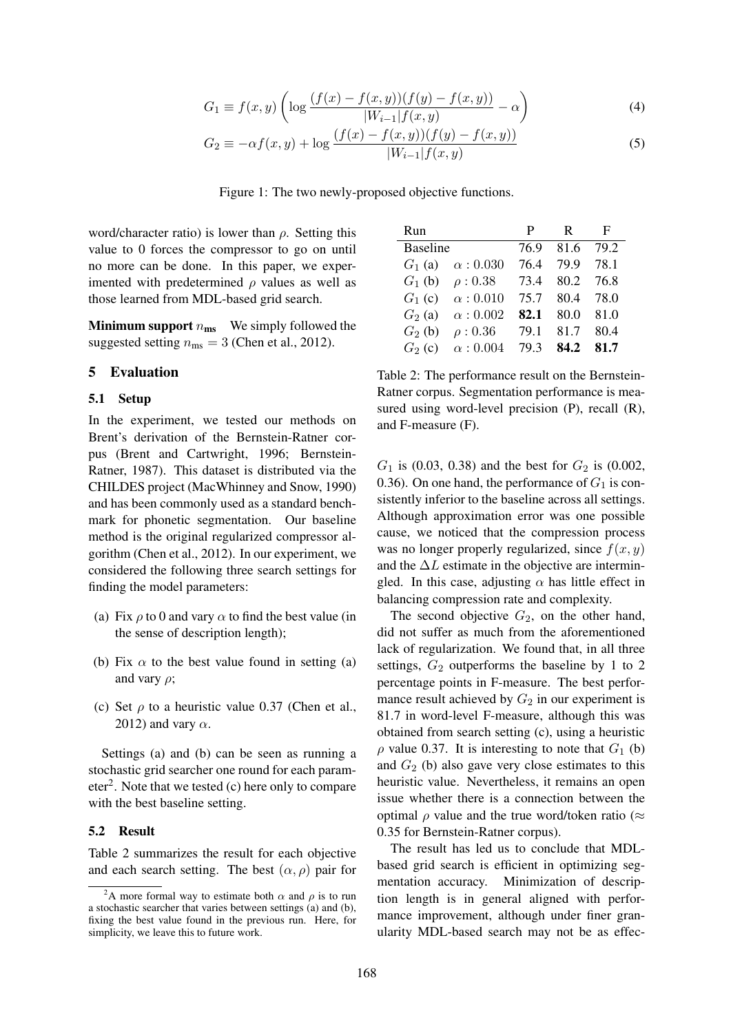$$
G_1 \equiv f(x, y) \left( \log \frac{(f(x) - f(x, y))(f(y) - f(x, y))}{|W_{i-1}| f(x, y)} - \alpha \right)
$$
(4)

$$
G_2 \equiv -\alpha f(x, y) + \log \frac{(f(x) - f(x, y))(f(y) - f(x, y))}{|W_{i-1}| f(x, y)}
$$
(5)

Figure 1: The two newly-proposed objective functions.

word/character ratio) is lower than  $\rho$ . Setting this value to 0 forces the compressor to go on until no more can be done. In this paper, we experimented with predetermined  $\rho$  values as well as those learned from MDL-based grid search.

**Minimum support**  $n_{\text{ms}}$  We simply followed the suggested setting  $n_{\text{ms}} = 3$  (Chen et al., 2012).

# 5 Evaluation

#### 5.1 Setup

In the experiment, we tested our methods on Brent's derivation of the Bernstein-Ratner corpus (Brent and Cartwright, 1996; Bernstein-Ratner, 1987). This dataset is distributed via the CHILDES project (MacWhinney and Snow, 1990) and has been commonly used as a standard benchmark for phonetic segmentation. Our baseline method is the original regularized compressor algorithm (Chen et al., 2012). In our experiment, we considered the following three search settings for finding the model parameters:

- (a) Fix  $\rho$  to 0 and vary  $\alpha$  to find the best value (in the sense of description length);
- (b) Fix  $\alpha$  to the best value found in setting (a) and vary  $\rho$ :
- (c) Set  $\rho$  to a heuristic value 0.37 (Chen et al., 2012) and vary  $\alpha$ .

Settings (a) and (b) can be seen as running a stochastic grid searcher one round for each parameter<sup>2</sup>. Note that we tested  $(c)$  here only to compare with the best baseline setting.

#### 5.2 Result

Table 2 summarizes the result for each objective and each search setting. The best  $(\alpha, \rho)$  pair for

| Run                         | P.   | R.             | F         |
|-----------------------------|------|----------------|-----------|
| <b>Baseline</b>             |      | 76.9 81.6 79.2 |           |
| $G_1$ (a) $\alpha$ : 0.030  | 76.4 |                | 79.9 78.1 |
| $G_1$ (b) $\rho$ : 0.38     | 73.4 |                | 80.2 76.8 |
| $G_1$ (c) $\alpha$ : 0.010  | 75.7 |                | 80.4 78.0 |
| $\alpha:0.002$<br>$G_2$ (a) | 82.1 | 80.0           | 81.0      |
| $G_2$ (b)<br>$\rho: 0.36$   | 79.1 | 81.7           | 80.4      |
| $G_2$ (c) $\alpha$ : 0.004  | 79.3 | 84.2           | 81.7      |

Table 2: The performance result on the Bernstein-Ratner corpus. Segmentation performance is measured using word-level precision (P), recall (R), and F-measure (F).

 $G_1$  is (0.03, 0.38) and the best for  $G_2$  is (0.002, 0.36). On one hand, the performance of  $G_1$  is consistently inferior to the baseline across all settings. Although approximation error was one possible cause, we noticed that the compression process was no longer properly regularized, since  $f(x, y)$ and the  $\Delta L$  estimate in the objective are intermingled. In this case, adjusting  $\alpha$  has little effect in balancing compression rate and complexity.

The second objective  $G_2$ , on the other hand, did not suffer as much from the aforementioned lack of regularization. We found that, in all three settings,  $G_2$  outperforms the baseline by 1 to 2 percentage points in F-measure. The best performance result achieved by  $G_2$  in our experiment is 81.7 in word-level F-measure, although this was obtained from search setting (c), using a heuristic  $\rho$  value 0.37. It is interesting to note that  $G_1$  (b) and  $G_2$  (b) also gave very close estimates to this heuristic value. Nevertheless, it remains an open issue whether there is a connection between the optimal  $\rho$  value and the true word/token ratio ( $\approx$ 0.35 for Bernstein-Ratner corpus).

The result has led us to conclude that MDLbased grid search is efficient in optimizing segmentation accuracy. Minimization of description length is in general aligned with performance improvement, although under finer granularity MDL-based search may not be as effec-

<sup>&</sup>lt;sup>2</sup>A more formal way to estimate both  $\alpha$  and  $\rho$  is to run a stochastic searcher that varies between settings (a) and (b), fixing the best value found in the previous run. Here, for simplicity, we leave this to future work.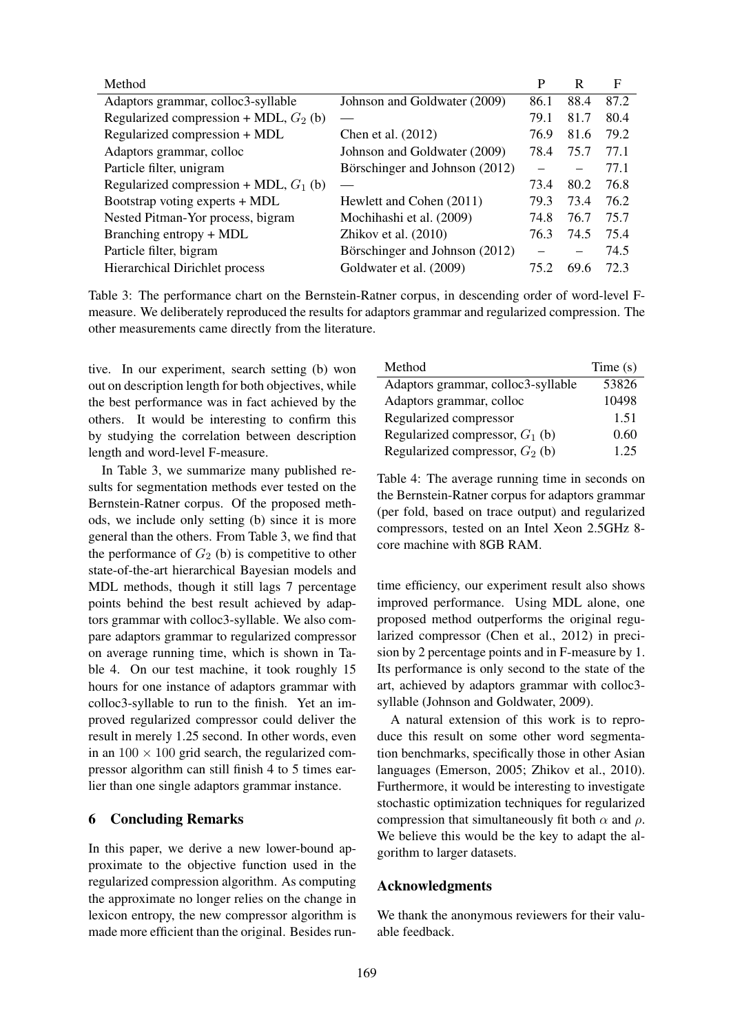| Method                                   |                                | P    | R    | F    |
|------------------------------------------|--------------------------------|------|------|------|
| Adaptors grammar, colloc3-syllable       | Johnson and Goldwater (2009)   | 86.1 | 88.4 | 87.2 |
| Regularized compression + MDL, $G_2$ (b) |                                | 79.1 | 81.7 | 80.4 |
| Regularized compression + MDL            | Chen et al. (2012)             | 76.9 | 81.6 | 79.2 |
| Adaptors grammar, colloc                 | Johnson and Goldwater (2009)   | 78.4 | 75.7 | 77.1 |
| Particle filter, unigram                 | Börschinger and Johnson (2012) |      |      | 77.1 |
| Regularized compression + MDL, $G_1$ (b) |                                | 73.4 | 80.2 | 76.8 |
| Bootstrap voting experts + MDL           | Hewlett and Cohen (2011)       | 79.3 | 73.4 | 76.2 |
| Nested Pitman-Yor process, bigram        | Mochihashi et al. (2009)       | 74.8 | 76.7 | 75.7 |
| Branching entropy + MDL                  | Zhikov et al. $(2010)$         | 76.3 | 74.5 | 75.4 |
| Particle filter, bigram                  | Börschinger and Johnson (2012) |      |      | 74.5 |
| Hierarchical Dirichlet process           | Goldwater et al. (2009)        | 75.2 | 69.6 | 72.3 |

Table 3: The performance chart on the Bernstein-Ratner corpus, in descending order of word-level Fmeasure. We deliberately reproduced the results for adaptors grammar and regularized compression. The other measurements came directly from the literature.

tive. In our experiment, search setting (b) won out on description length for both objectives, while the best performance was in fact achieved by the others. It would be interesting to confirm this by studying the correlation between description length and word-level F-measure.

In Table 3, we summarize many published results for segmentation methods ever tested on the Bernstein-Ratner corpus. Of the proposed methods, we include only setting (b) since it is more general than the others. From Table 3, we find that the performance of  $G_2$  (b) is competitive to other state-of-the-art hierarchical Bayesian models and MDL methods, though it still lags 7 percentage points behind the best result achieved by adaptors grammar with colloc3-syllable. We also compare adaptors grammar to regularized compressor on average running time, which is shown in Table 4. On our test machine, it took roughly 15 hours for one instance of adaptors grammar with colloc3-syllable to run to the finish. Yet an improved regularized compressor could deliver the result in merely 1.25 second. In other words, even in an  $100 \times 100$  grid search, the regularized compressor algorithm can still finish 4 to 5 times earlier than one single adaptors grammar instance.

#### 6 Concluding Remarks

In this paper, we derive a new lower-bound approximate to the objective function used in the regularized compression algorithm. As computing the approximate no longer relies on the change in lexicon entropy, the new compressor algorithm is made more efficient than the original. Besides run-

| Method                             | Time(s) |
|------------------------------------|---------|
| Adaptors grammar, colloc3-syllable | 53826   |
| Adaptors grammar, colloc           | 10498   |
| Regularized compressor             | 1.51    |
| Regularized compressor, $G_1$ (b)  | 0.60    |
| Regularized compressor, $G_2$ (b)  | 1 25    |

Table 4: The average running time in seconds on the Bernstein-Ratner corpus for adaptors grammar (per fold, based on trace output) and regularized compressors, tested on an Intel Xeon 2.5GHz 8 core machine with 8GB RAM.

time efficiency, our experiment result also shows improved performance. Using MDL alone, one proposed method outperforms the original regularized compressor (Chen et al., 2012) in precision by 2 percentage points and in F-measure by 1. Its performance is only second to the state of the art, achieved by adaptors grammar with colloc3 syllable (Johnson and Goldwater, 2009).

A natural extension of this work is to reproduce this result on some other word segmentation benchmarks, specifically those in other Asian languages (Emerson, 2005; Zhikov et al., 2010). Furthermore, it would be interesting to investigate stochastic optimization techniques for regularized compression that simultaneously fit both  $\alpha$  and  $\rho$ . We believe this would be the key to adapt the algorithm to larger datasets.

## Acknowledgments

We thank the anonymous reviewers for their valuable feedback.